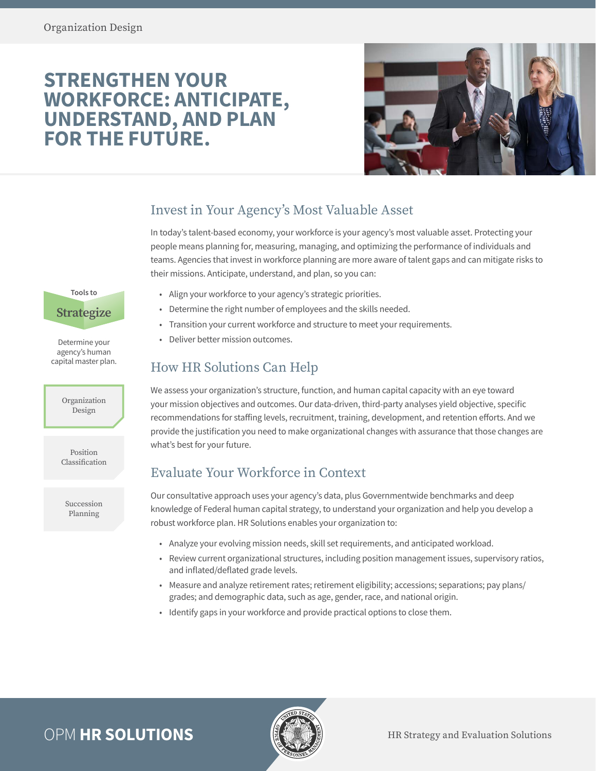# **STRENGTHEN YOUR WORKFORCE: ANTICIPATE, UNDERSTAND, AND PLAN FOR THE FUTURE.**



## Invest in Your Agency's Most Valuable Asset

In today's talent-based economy, your workforce is your agency's most valuable asset. Protecting your people means planning for, measuring, managing, and optimizing the performance of individuals and teams. Agencies that invest in workforce planning are more aware of talent gaps and can mitigate risks to their missions. Anticipate, understand, and plan, so you can:

**Tools to Strategize**

Determine your agency's human capital master plan.

> Organization Design

Position Classification

Succession Planning

- Align your workforce to your agency's strategic priorities.
- Determine the right number of employees and the skills needed.
- Transition your current workforce and structure to meet your requirements.
- Deliver better mission outcomes.

## How HR Solutions Can Help

We assess your organization's structure, function, and human capital capacity with an eye toward your mission objectives and outcomes. Our data-driven, third-party analyses yield objective, specific recommendations for staffing levels, recruitment, training, development, and retention efforts. And we provide the justification you need to make organizational changes with assurance that those changes are what's best for your future.

## Evaluate Your Workforce in Context

Our consultative approach uses your agency's data, plus Governmentwide benchmarks and deep knowledge of Federal human capital strategy, to understand your organization and help you develop a robust workforce plan. HR Solutions enables your organization to:

- Analyze your evolving mission needs, skill set requirements, and anticipated workload.
- Review current organizational structures, including position management issues, supervisory ratios, and inflated/deflated grade levels.
- Measure and analyze retirement rates; retirement eligibility; accessions; separations; pay plans/ grades; and demographic data, such as age, gender, race, and national origin.
- Identify gaps in your workforce and provide practical options to close them.